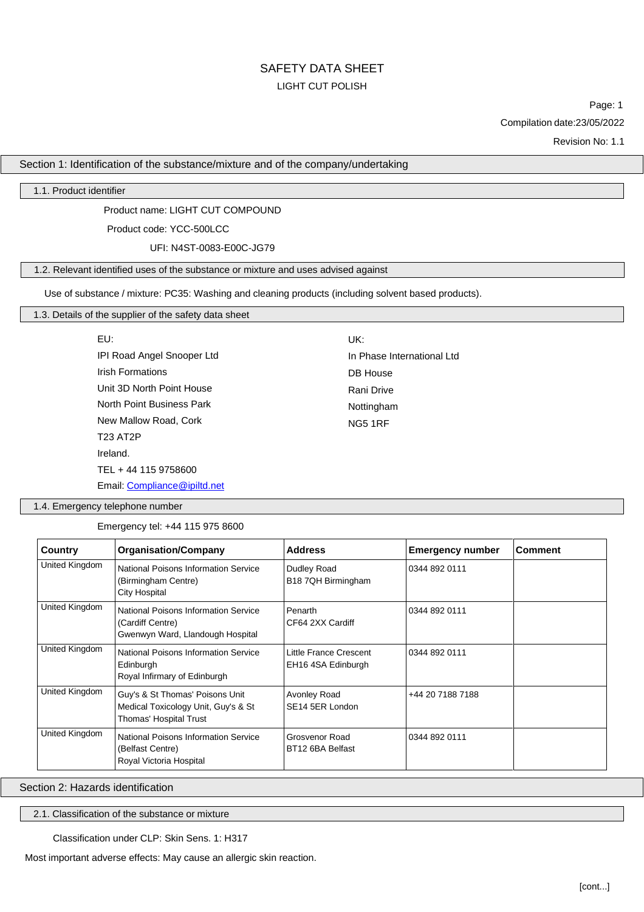UK:

DB House Rani Drive Nottingham NG5 1RF

In Phase International Ltd

Page: 1 Compilation date:23/05/2022

Revision No: 1.1

Section 1: Identification of the substance/mixture and of the company/undertaking

1.1. Product identifier

Product name: LIGHT CUT COMPOUND

Product code: YCC-500LCC

UFI: N4ST-0083-E00C-JG79

## 1.2. Relevant identified uses of the substance or mixture and uses advised against

Use of substance / mixture: PC35: Washing and cleaning products (including solvent based products).

# 1.3. Details of the supplier of the safety data sheet

| FU:                          |
|------------------------------|
| IPI Road Angel Snooper Ltd   |
| <b>Irish Formations</b>      |
| Unit 3D North Point House    |
| North Point Business Park    |
| New Mallow Road, Cork        |
| T23 AT2P                     |
| Ireland.                     |
| TEL + 44 115 9758600         |
| Email: Compliance@ipiltd.net |

1.4. Emergency telephone number

Emergency tel: +44 115 975 8600

| Country        | <b>Organisation/Company</b>                                                                         | <b>Address</b>                               | <b>Emergency number</b> | <b>Comment</b> |
|----------------|-----------------------------------------------------------------------------------------------------|----------------------------------------------|-------------------------|----------------|
| United Kingdom | <b>National Poisons Information Service</b><br>(Birmingham Centre)<br><b>City Hospital</b>          | Dudley Road<br>B18 7QH Birmingham            | 0344 892 0111           |                |
| United Kingdom | <b>National Poisons Information Service</b><br>(Cardiff Centre)<br>Gwenwyn Ward, Llandough Hospital | Penarth<br>CF64 2XX Cardiff                  | 0344 892 0111           |                |
| United Kingdom | National Poisons Information Service<br>Edinburgh<br>Royal Infirmary of Edinburgh                   | Little France Crescent<br>EH16 4SA Edinburgh | 0344 892 0111           |                |
| United Kingdom | Guy's & St Thomas' Poisons Unit<br>Medical Toxicology Unit, Guy's & St<br>Thomas' Hospital Trust    | Avonley Road<br>SE14 5ER London              | +44 20 7188 7188        |                |
| United Kingdom | National Poisons Information Service<br>(Belfast Centre)<br>Royal Victoria Hospital                 | Grosvenor Road<br>BT12 6BA Belfast           | 0344 892 0111           |                |

Section 2: Hazards identification

2.1. Classification of the substance or mixture

Classification under CLP: Skin Sens. 1: H317

Most important adverse effects: May cause an allergic skin reaction.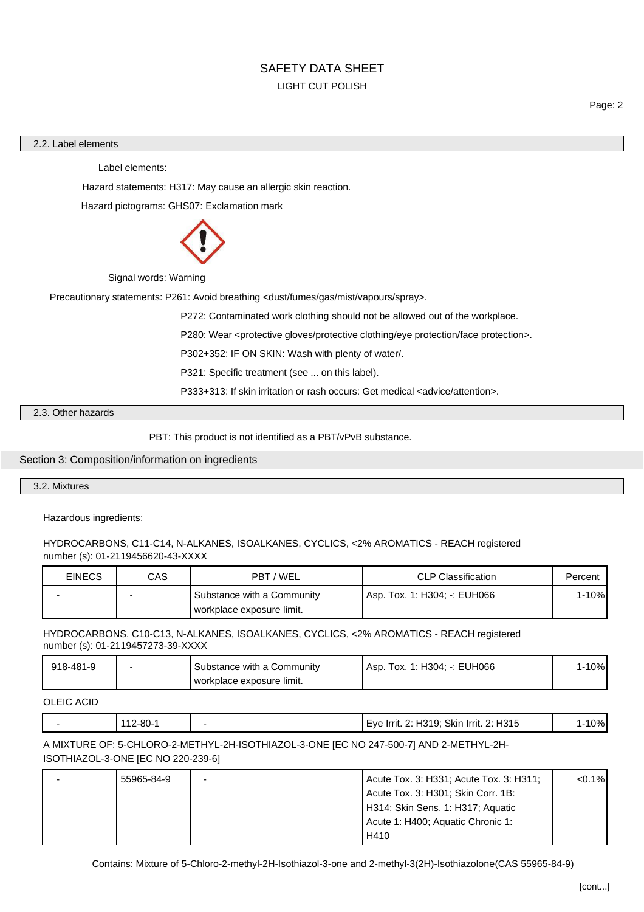#### 2.2. Label elements

Label elements:

Hazard statements: H317: May cause an allergic skin reaction.

Hazard pictograms: GHS07: Exclamation mark



Signal words: Warning

Precautionary statements: P261: Avoid breathing <dust/fumes/gas/mist/vapours/spray>.

P272: Contaminated work clothing should not be allowed out of the workplace.

P280: Wear <protective gloves/protective clothing/eye protection/face protection>.

P302+352: IF ON SKIN: Wash with plenty of water/.

P321: Specific treatment (see ... on this label).

P333+313: If skin irritation or rash occurs: Get medical <advice/attention>.

2.3. Other hazards

PBT: This product is not identified as a PBT/vPvB substance.

### Section 3: Composition/information on ingredients

## 3.2. Mixtures

Hazardous ingredients:

#### HYDROCARBONS, C11-C14, N-ALKANES, ISOALKANES, CYCLICS, <2% AROMATICS - REACH registered number (s): 01-2119456620-43-XXXX

| <b>EINECS</b> | CAS | PBT / WEL                                               | <b>CLP Classification</b>    | Percent |
|---------------|-----|---------------------------------------------------------|------------------------------|---------|
|               |     | Substance with a Community<br>workplace exposure limit. | Asp. Tox. 1: H304: -: EUH066 | l-10%   |

# HYDROCARBONS, C10-C13, N-ALKANES, ISOALKANES, CYCLICS, <2% AROMATICS - REACH registered number (s): 01-2119457273-39-XXXX

| 918-481-9 | Substance with a Community  | Asp. Tox. 1: H304: -: EUH066 | 1-10% |
|-----------|-----------------------------|------------------------------|-------|
|           | l workplace exposure limit. |                              |       |

OLEIC ACID

| <b>112-80-1</b> | Eye Irrit. 2: H319; Skin Irrit. 2: H315 | <b>-10%</b> |
|-----------------|-----------------------------------------|-------------|
|                 |                                         |             |

# A MIXTURE OF: 5-CHLORO-2-METHYL-2H-ISOTHIAZOL-3-ONE [EC NO 247-500-7] AND 2-METHYL-2H-ISOTHIAZOL-3-ONE [EC NO 220-239-6]

| 55965-84-9 | Acute Tox. 3: H331; Acute Tox. 3: H311; | $< 0.1\%$ |
|------------|-----------------------------------------|-----------|
|            | Acute Tox. 3: H301; Skin Corr. 1B:      |           |
|            | H314; Skin Sens. 1: H317; Aquatic       |           |
|            | Acute 1: H400; Aquatic Chronic 1:       |           |
|            | H410                                    |           |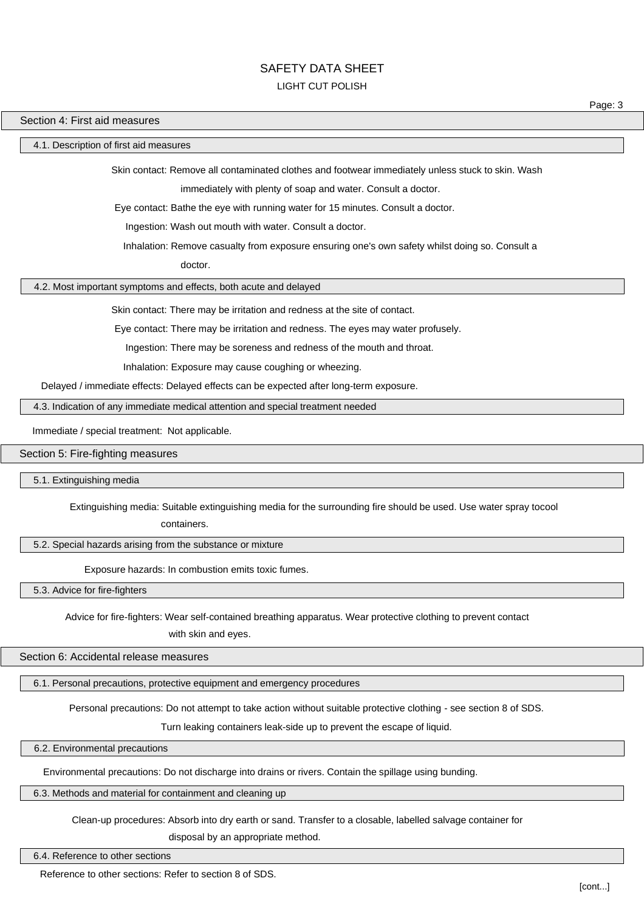# SAFETY DATA SHEET

#### LIGHT CUT POLISH

Page: 3

#### Section 4: First aid measures

4.1. Description of first aid measures

Skin contact: Remove all contaminated clothes and footwear immediately unless stuck to skin. Wash

immediately with plenty of soap and water. Consult a doctor.

Eye contact: Bathe the eye with running water for 15 minutes. Consult a doctor.

Ingestion: Wash out mouth with water. Consult a doctor.

Inhalation: Remove casualty from exposure ensuring one's own safety whilst doing so. Consult a

doctor.

4.2. Most important symptoms and effects, both acute and delayed

Skin contact: There may be irritation and redness at the site of contact.

Eye contact: There may be irritation and redness. The eyes may water profusely.

Ingestion: There may be soreness and redness of the mouth and throat.

Inhalation: Exposure may cause coughing or wheezing.

Delayed / immediate effects: Delayed effects can be expected after long-term exposure.

4.3. Indication of any immediate medical attention and special treatment needed

Immediate / special treatment: Not applicable.

Section 5: Fire-fighting measures

5.1. Extinguishing media

Extinguishing media: Suitable extinguishing media for the surrounding fire should be used. Use water spray tocool

containers.

5.2. Special hazards arising from the substance or mixture

Exposure hazards: In combustion emits toxic fumes.

5.3. Advice for fire-fighters

Advice for fire-fighters: Wear self-contained breathing apparatus. Wear protective clothing to prevent contact

with skin and eyes.

Section 6: Accidental release measures

6.1. Personal precautions, protective equipment and emergency procedures

Personal precautions: Do not attempt to take action without suitable protective clothing - see section 8 of SDS.

Turn leaking containers leak-side up to prevent the escape of liquid.

6.2. Environmental precautions

Environmental precautions: Do not discharge into drains or rivers. Contain the spillage using bunding.

6.3. Methods and material for containment and cleaning up

Clean-up procedures: Absorb into dry earth or sand. Transfer to a closable, labelled salvage container for

disposal by an appropriate method.

#### 6.4. Reference to other sections

Reference to other sections: Refer to section 8 of SDS.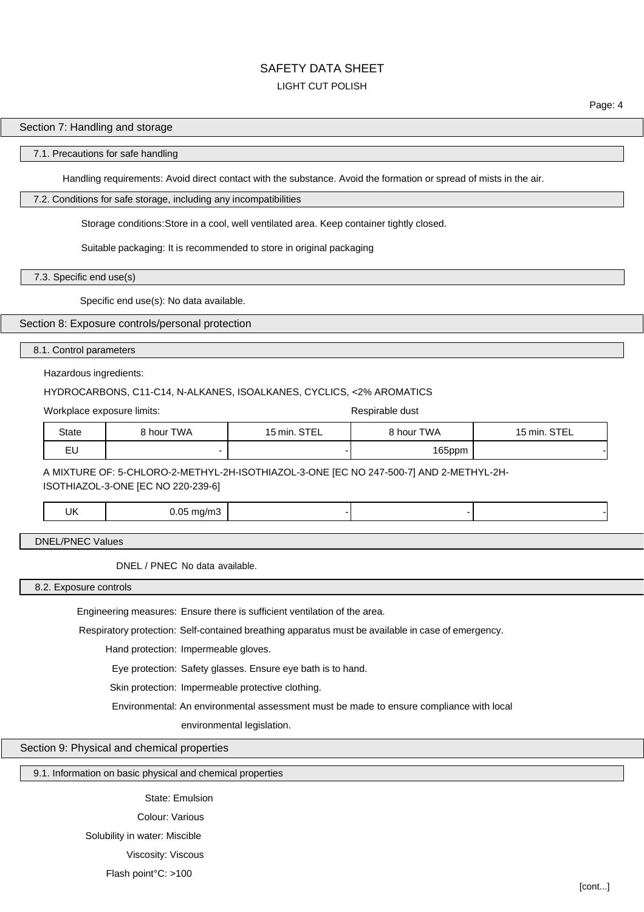# SAFETY DATA SHEET

# LIGHT CUT POLISH

#### Section 7: Handling and storage

#### 7.1. Precautions for safe handling

Handling requirements: Avoid direct contact with the substance. Avoid the formation or spread of mists in the air.

### 7.2. Conditions for safe storage, including any incompatibilities

Storage conditions:Store in a cool, well ventilated area. Keep container tightly closed.

Suitable packaging: It is recommended to store in original packaging

7.3. Specific end use(s)

Specific end use(s): No data available.

## Section 8: Exposure controls/personal protection

#### 8.1. Control parameters

### Hazardous ingredients:

## HYDROCARBONS, C11-C14, N-ALKANES, ISOALKANES, CYCLICS, <2% AROMATICS

Workplace exposure limits: Workplace exposure limits:

| State    | <b>TWA</b><br>$^{\circ}$ hour $\overline{\phantom{a}}$ . | STEL<br>$\overline{\phantom{0}}$<br>$5 \,\mathrm{min}$ . | hour TWA | $\sim$ $\sim$ $\sim$ $\sim$ $\sim$<br>l 5 min<br>-- |
|----------|----------------------------------------------------------|----------------------------------------------------------|----------|-----------------------------------------------------|
| - 1<br>ᄂ |                                                          |                                                          | 165ppm   |                                                     |

A MIXTURE OF: 5-CHLORO-2-METHYL-2H-ISOTHIAZOL-3-ONE [EC NO 247-500-7] AND 2-METHYL-2H-

ISOTHIAZOL-3-ONE [EC NO 220-239-6]

| ιK<br>.<br>$ -$ | $- - - - -$<br>. . |  |  |
|-----------------|--------------------|--|--|
|                 |                    |  |  |

DNEL/PNEC Values

DNEL / PNEC No data available.

8.2. Exposure controls

Engineering measures: Ensure there is sufficient ventilation of the area.

Respiratory protection: Self-contained breathing apparatus must be available in case of emergency.

Hand protection: Impermeable gloves.

Eye protection: Safety glasses. Ensure eye bath is to hand.

Skin protection: Impermeable protective clothing.

Environmental: An environmental assessment must be made to ensure compliance with local

environmental legislation.

Section 9: Physical and chemical properties

9.1. Information on basic physical and chemical properties

State: Emulsion Colour: Various

Solubility in water: Miscible

Viscosity: Viscous

Flash point°C: >100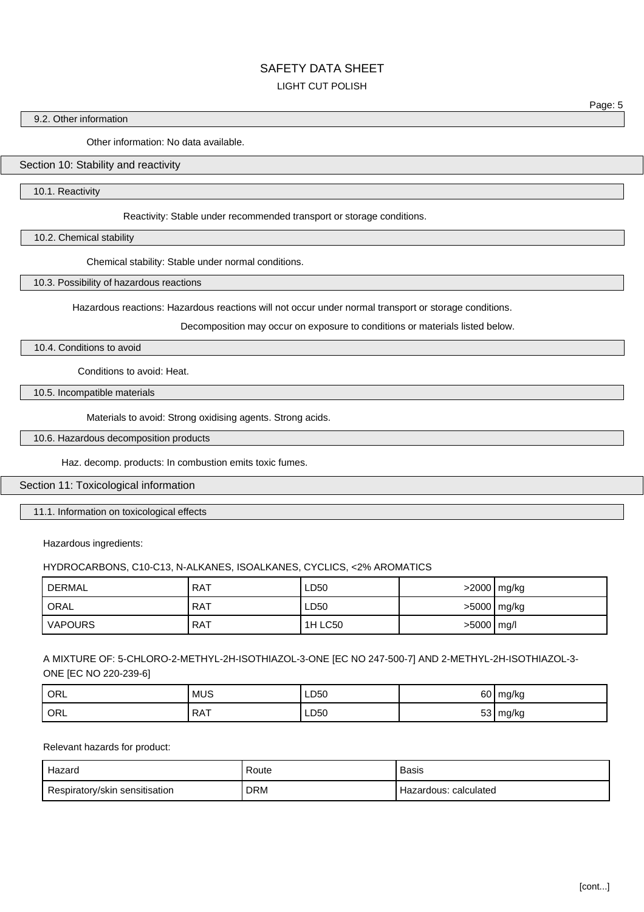# SAFETY DATA SHEFT

## LIGHT CUT POLISH

#### 9.2. Other information

Other information: No data available.

## Section 10: Stability and reactivity

10.1. Reactivity

Reactivity: Stable under recommended transport or storage conditions.

10.2. Chemical stability

Chemical stability: Stable under normal conditions.

10.3. Possibility of hazardous reactions

Hazardous reactions: Hazardous reactions will not occur under normal transport or storage conditions.

Decomposition may occur on exposure to conditions or materials listed below.

10.4. Conditions to avoid

Conditions to avoid: Heat.

10.5. Incompatible materials

Materials to avoid: Strong oxidising agents. Strong acids.

10.6. Hazardous decomposition products

Haz. decomp. products: In combustion emits toxic fumes.

## Section 11: Toxicological information

11.1. Information on toxicological effects

Hazardous ingredients:

#### HYDROCARBONS, C10-C13, N-ALKANES, ISOALKANES, CYCLICS, <2% AROMATICS

| DERMAL         | <b>RAT</b> | LD50           |            | >2000 mg/kg |
|----------------|------------|----------------|------------|-------------|
| ORAL           | <b>RAT</b> | LD50           |            | >5000 mg/kg |
| <b>VAPOURS</b> | . RAT      | <b>1H LC50</b> | >5000 mg/l |             |

A MIXTURE OF: 5-CHLORO-2-METHYL-2H-ISOTHIAZOL-3-ONE [EC NO 247-500-7] AND 2-METHYL-2H-ISOTHIAZOL-3- ONE [EC NO 220-239-6]

| ORL | <b>MUS</b> | LD50<br>__ | $\sim$<br>60  | mg/kg |
|-----|------------|------------|---------------|-------|
| ORL | <b>RAT</b> | LD50       | $-\sim$<br>vu | mg/kg |

### Relevant hazards for product:

| Hazard                         | Route | Basis                 |
|--------------------------------|-------|-----------------------|
| Respiratory/skin sensitisation | DRM   | Hazardous: calculated |

Page: 5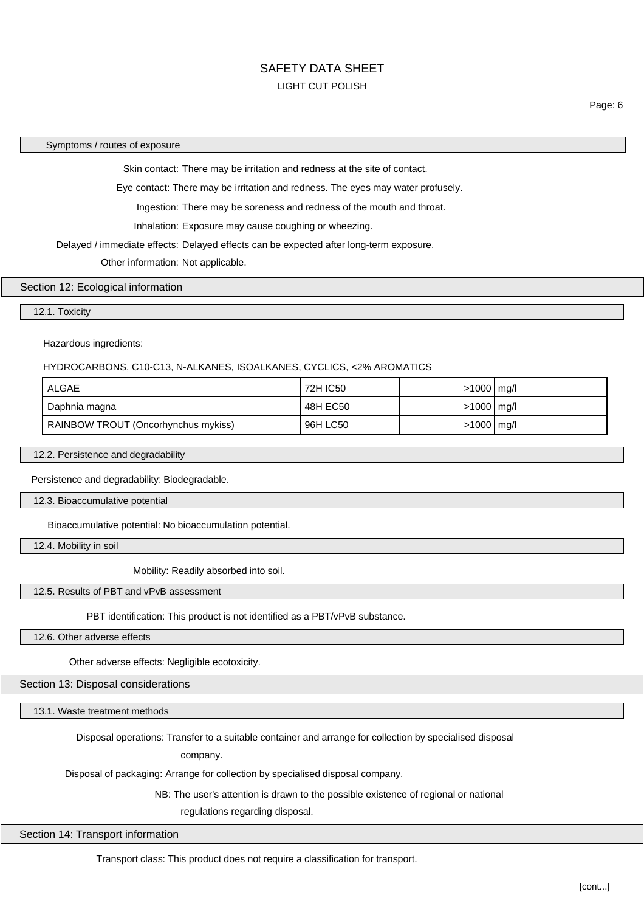Page: 6

#### Symptoms / routes of exposure

Skin contact: There may be irritation and redness at the site of contact.

Eye contact: There may be irritation and redness. The eyes may water profusely.

Ingestion: There may be soreness and redness of the mouth and throat.

Inhalation: Exposure may cause coughing or wheezing.

Delayed / immediate effects: Delayed effects can be expected after long-term exposure.

Other information: Not applicable.

# Section 12: Ecological information

#### 12.1. Toxicity

Hazardous ingredients:

#### HYDROCARBONS, C10-C13, N-ALKANES, ISOALKANES, CYCLICS, <2% AROMATICS

| ALGAE                               | 72H IC50 | $>1000$ mg/l |  |
|-------------------------------------|----------|--------------|--|
| Daphnia magna                       | 48H EC50 | $>1000$ mg/l |  |
| RAINBOW TROUT (Oncorhynchus mykiss) | 96H LC50 | $>1000$ mg/l |  |

12.2. Persistence and degradability

Persistence and degradability: Biodegradable.

12.3. Bioaccumulative potential

Bioaccumulative potential: No bioaccumulation potential.

12.4. Mobility in soil

Mobility: Readily absorbed into soil.

# 12.5. Results of PBT and vPvB assessment

PBT identification: This product is not identified as a PBT/vPvB substance.

12.6. Other adverse effects

Other adverse effects: Negligible ecotoxicity.

## Section 13: Disposal considerations

13.1. Waste treatment methods

Disposal operations: Transfer to a suitable container and arrange for collection by specialised disposal

company.

Disposal of packaging: Arrange for collection by specialised disposal company.

NB: The user's attention is drawn to the possible existence of regional or national

regulations regarding disposal.

Section 14: Transport information

Transport class: This product does not require a classification for transport.